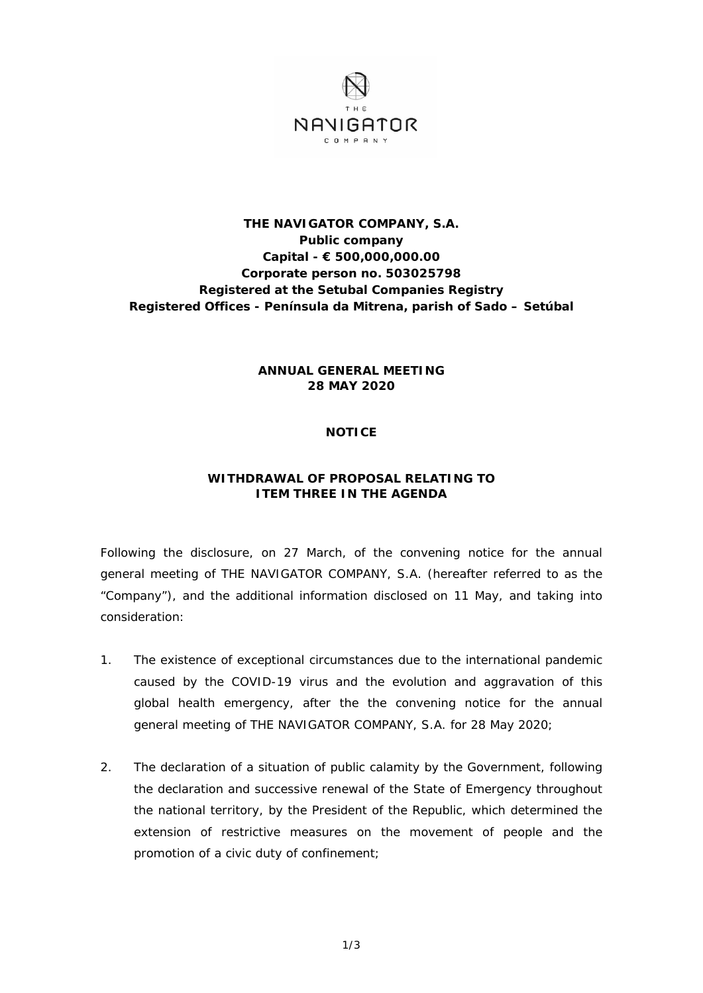

## **THE NAVIGATOR COMPANY, S.A. Public company Capital - € 500,000,000.00 Corporate person no. 503025798 Registered at the Setubal Companies Registry Registered Offices - Península da Mitrena, parish of Sado – Setúbal**

## **ANNUAL GENERAL MEETING 28 MAY 2020**

## **NOTICE**

## **WITHDRAWAL OF PROPOSAL RELATING TO ITEM THREE IN THE AGENDA**

Following the disclosure, on 27 March, of the convening notice for the annual general meeting of THE NAVIGATOR COMPANY, S.A. (hereafter referred to as the "Company"), and the additional information disclosed on 11 May, and taking into consideration:

- 1. The existence of exceptional circumstances due to the international pandemic caused by the COVID-19 virus and the evolution and aggravation of this global health emergency, after the the convening notice for the annual general meeting of THE NAVIGATOR COMPANY, S.A. for 28 May 2020;
- 2. The declaration of a situation of public calamity by the Government, following the declaration and successive renewal of the State of Emergency throughout the national territory, by the President of the Republic, which determined the extension of restrictive measures on the movement of people and the promotion of a civic duty of confinement;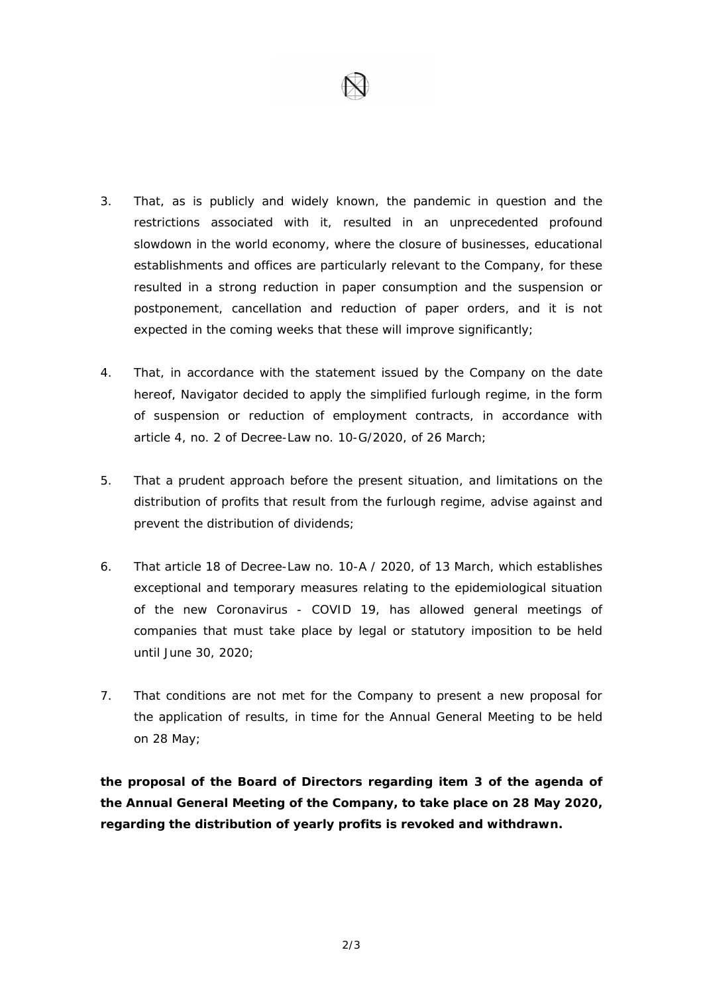

- 3. That, as is publicly and widely known, the pandemic in question and the restrictions associated with it, resulted in an unprecedented profound slowdown in the world economy, where the closure of businesses, educational establishments and offices are particularly relevant to the Company, for these resulted in a strong reduction in paper consumption and the suspension or postponement, cancellation and reduction of paper orders, and it is not expected in the coming weeks that these will improve significantly;
- 4. That, in accordance with the statement issued by the Company on the date hereof, Navigator decided to apply the simplified furlough regime, in the form of suspension or reduction of employment contracts, in accordance with article 4, no. 2 of Decree-Law no. 10-G/2020, of 26 March;
- 5. That a prudent approach before the present situation, and limitations on the distribution of profits that result from the furlough regime, advise against and prevent the distribution of dividends;
- 6. That article 18 of Decree-Law no. 10-A / 2020, of 13 March, which establishes exceptional and temporary measures relating to the epidemiological situation of the new Coronavirus - COVID 19, has allowed general meetings of companies that must take place by legal or statutory imposition to be held until June 30, 2020;
- 7. That conditions are not met for the Company to present a new proposal for the application of results, in time for the Annual General Meeting to be held on 28 May;

**the proposal of the Board of Directors regarding item 3 of the agenda of the Annual General Meeting of the Company, to take place on 28 May 2020, regarding the distribution of yearly profits is revoked and withdrawn.**